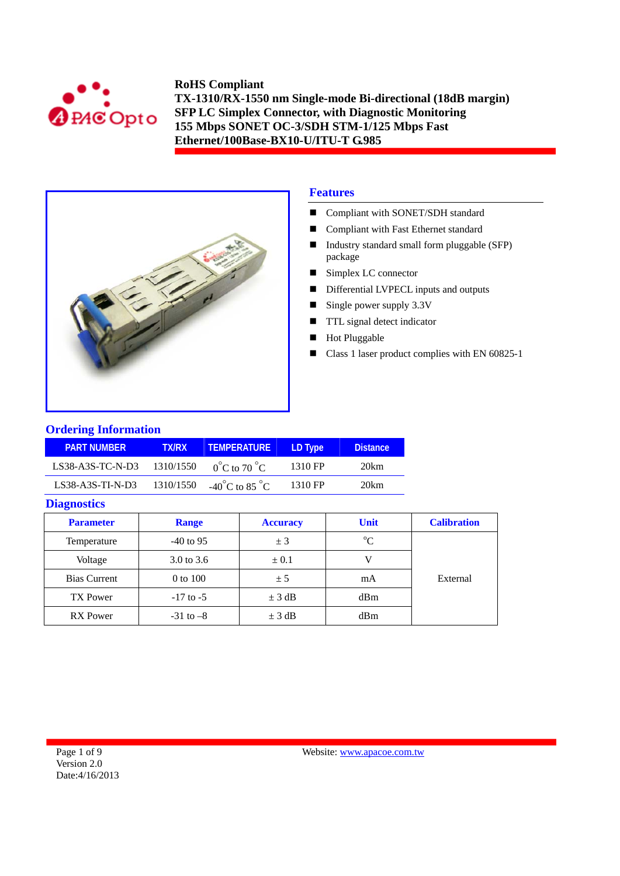



## **Features**

- Compliant with SONET/SDH standard
- Compliant with Fast Ethernet standard
- Industry standard small form pluggable (SFP) package
- Simplex LC connector
- Differential LVPECL inputs and outputs
- Single power supply  $3.3V$
- **TTL** signal detect indicator
- Hot Pluggable
- Class 1 laser product complies with EN 60825-1

#### **Ordering Information**

| <b>PART NUMBER</b> | <b>TX/RX</b> | <b>TEMPERATURE</b>                 | LD Type | <b>Distance</b> |
|--------------------|--------------|------------------------------------|---------|-----------------|
| $LS38-A3S-TC-N-D3$ | 1310/1550    | $0^{\circ}$ C to 70 $^{\circ}$ C   | 1310 FP | 20km            |
| $LS38-A3S-TI-N-D3$ | 1310/1550    | $-40^{\circ}$ C to 85 $^{\circ}$ C | 1310 FP | 20km            |

#### **Diagnostics**

| <b>Parameter</b>    | <b>Range</b>  | <b>Accuracy</b> | <b>Unit</b> | <b>Calibration</b> |
|---------------------|---------------|-----------------|-------------|--------------------|
| Temperature         | $-40$ to 95   | ± 3             | $\rm ^{o}C$ |                    |
| Voltage             | 3.0 to 3.6    | $\pm 0.1$       |             |                    |
| <b>Bias Current</b> | 0 to 100      | ± 5             | mA          | External           |
| TX Power            | $-17$ to $-5$ | $\pm$ 3 dB      | dBm         |                    |
| <b>RX</b> Power     | $-31$ to $-8$ | $\pm$ 3 dB      | dBm         |                    |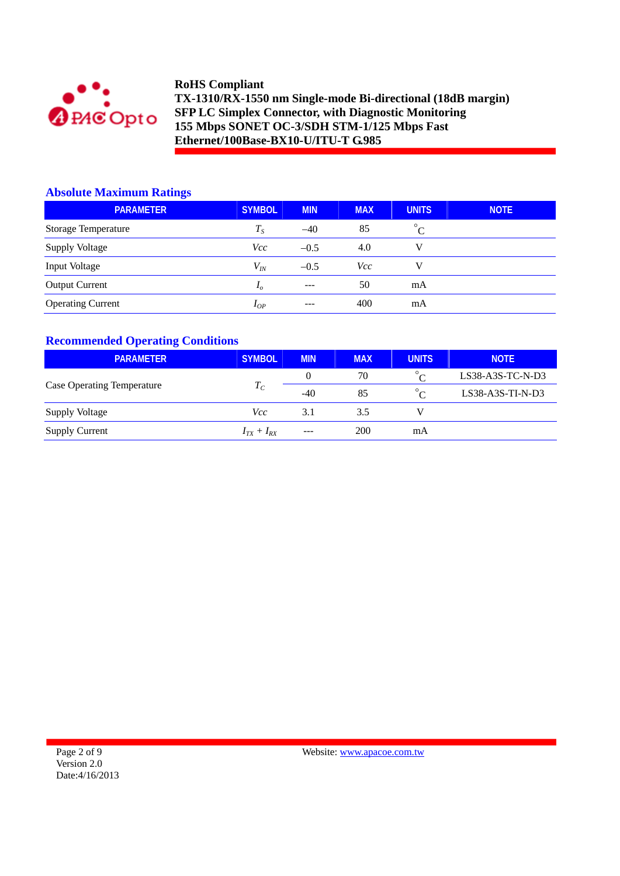

### **Absolute Maximum Ratings**

| <b>PARAMETER</b>           | <b>SYMBOL</b> | <b>MIN</b> | <b>MAX</b> | <b>UNITS</b> | <b>NOTE</b> |
|----------------------------|---------------|------------|------------|--------------|-------------|
| <b>Storage Temperature</b> | $T_{S}$       | $-40$      | 85         | $^{\circ}C$  |             |
| <b>Supply Voltage</b>      | <i>Vcc</i>    | $-0.5$     | 4.0        | V            |             |
| Input Voltage              | $V_{I\!N}$    | $-0.5$     | Vcc        | V            |             |
| <b>Output Current</b>      | $I_{\alpha}$  | $---$      | 50         | mA           |             |
| <b>Operating Current</b>   | $I_{OP}$      | $---$      | 400        | mA           |             |

## **Recommended Operating Conditions**

| <b>PARAMETER</b>                  | <b>SYMBOL</b>     | <b>MIN</b> | <b>MAX</b> | <b>UNITS</b> | <b>NOTE</b>        |
|-----------------------------------|-------------------|------------|------------|--------------|--------------------|
|                                   |                   |            | 70         | $\circ$      | $LS38-A3S-TC-N-D3$ |
| <b>Case Operating Temperature</b> | $T_C$             | $-40$      | 85         | $\circ$      | $LS38-A3S-TI-N-D3$ |
| Supply Voltage                    | Vcc               | 3.1        | 3.5        |              |                    |
| <b>Supply Current</b>             | $I_{TX} + I_{RX}$ | $---$      | 200        | mA           |                    |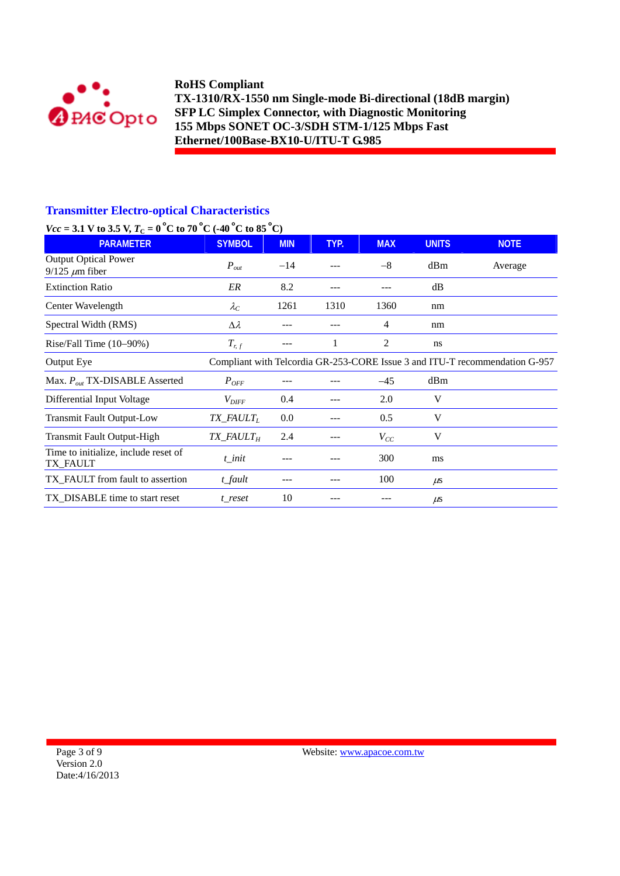

## **Transmitter Electro-optical Characteristics**

# *Vcc* = 3.1 V to 3.5 V,  $T_c = 0^\circ$ C to 70  $^{\circ}$ C (-40  $^{\circ}$ C to 85  $^{\circ}$ C)

| $V(t) = 0.1$ Y to $0.3$ Y, $T(t) = 0$ C to $T(t)$ C (THE C to $0.3$ C) |                                        |            |      |            |               |                                                                             |
|------------------------------------------------------------------------|----------------------------------------|------------|------|------------|---------------|-----------------------------------------------------------------------------|
| <b>PARAMETER</b>                                                       | <b>SYMBOL</b>                          | <b>MIN</b> | TYP. | <b>MAX</b> | <b>UNITS</b>  | <b>NOTE</b>                                                                 |
| <b>Output Optical Power</b><br>$9/125 \ \mu m$ fiber                   | $P_{out}$                              | $-14$      |      | $-8$       | dBm           | Average                                                                     |
| <b>Extinction Ratio</b>                                                | ER                                     | 8.2        |      |            | dB            |                                                                             |
| Center Wavelength                                                      | $\lambda_C$                            | 1261       | 1310 | 1360       | nm            |                                                                             |
| Spectral Width (RMS)                                                   | $\Delta \lambda$                       |            |      | 4          | nm            |                                                                             |
| Rise/Fall Time $(10-90%)$                                              | $T_{r,f}$                              |            | 1    | 2          | <sub>ns</sub> |                                                                             |
| Output Eye                                                             |                                        |            |      |            |               | Compliant with Telcordia GR-253-CORE Issue 3 and ITU-T recommendation G-957 |
| Max. $P_{out}$ TX-DISABLE Asserted                                     | $P_{OFF}$                              |            |      | $-45$      | dBm           |                                                                             |
| Differential Input Voltage                                             | $V_{\mathit{DIFF}}$                    | 0.4        |      | 2.0        | V             |                                                                             |
| <b>Transmit Fault Output-Low</b>                                       | TX_FAULT <sub>L</sub>                  | $0.0\,$    |      | 0.5        | V             |                                                                             |
| Transmit Fault Output-High                                             | $TX$ <sub>_FA</sub> $ULT$ <sub>H</sub> | 2.4        |      | $V_{CC}$   | V             |                                                                             |
| Time to initialize, include reset of<br>TX_FAULT                       | t init                                 |            |      | 300        | ms            |                                                                             |
| TX_FAULT from fault to assertion                                       | t_fault                                |            |      | 100        | $\mu$ s       |                                                                             |
| TX DISABLE time to start reset                                         | t reset                                | 10         | ---  |            | $\mu$ s       |                                                                             |
|                                                                        |                                        |            |      |            |               |                                                                             |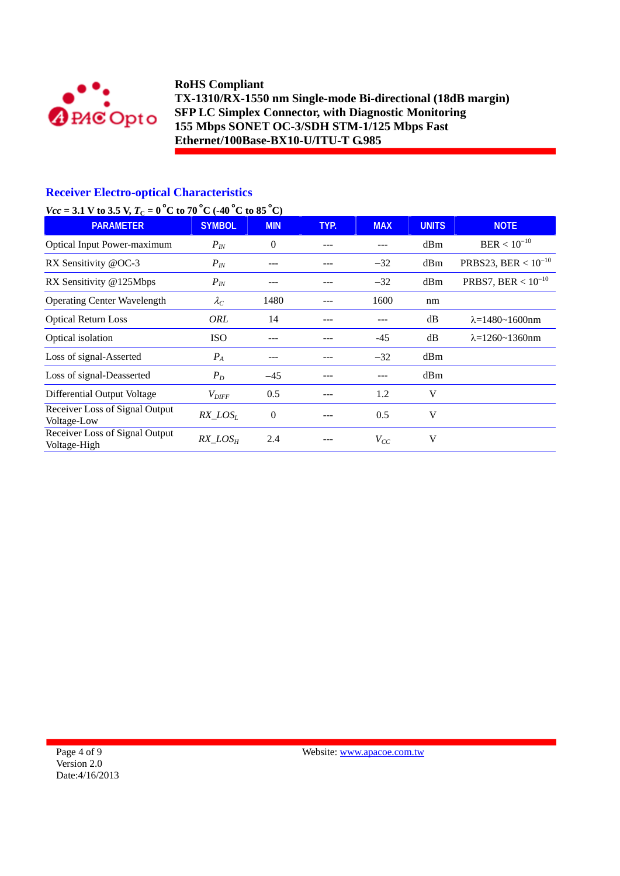

## **Receiver Electro-optical Characteristics**

## *Vcc* = 3.1 V to 3.5 V,  $T_c = 0^\circ$ C to 70 °C (-40 °C to 85 °C)

| $-$ 0.1 $\sqrt{2}$ 0.0 $\sqrt{2}$ $\sqrt{2}$<br><b>PARAMETER</b> | <b>SYMBOL</b>     | <b>MIN</b>       | TYP. | <b>MAX</b> | <b>UNITS</b> | <b>NOTE</b>                |
|------------------------------------------------------------------|-------------------|------------------|------|------------|--------------|----------------------------|
| Optical Input Power-maximum                                      | $P_{IN}$          | $\theta$         |      |            | dBm          | $BER < 10^{-10}$           |
| RX Sensitivity @OC-3                                             | $P_{IN}$          | ---              |      | $-32$      | dBm          | PRBS23, BER < $10^{-10}$   |
| RX Sensitivity @125Mbps                                          | $P_{IN}$          | ---              |      | $-32$      | dBm          | PRBS7, BER < $10^{-10}$    |
| <b>Operating Center Wavelength</b>                               | $\lambda_C$       | 1480             | ---  | 1600       | nm           |                            |
| <b>Optical Return Loss</b>                                       | ORL               | 14               | ---  | ---        | dB           | $\lambda = 1480 - 1600$ nm |
| Optical isolation                                                | <b>ISO</b>        | ---              |      | $-45$      | dB           | $\lambda = 1260 - 1360$ nm |
| Loss of signal-Asserted                                          | $P_A$             | ---              |      | $-32$      | dBm          |                            |
| Loss of signal-Deasserted                                        | $P_D$             | $-45$            |      |            | dBm          |                            |
| Differential Output Voltage                                      | $V_{\text{DIFF}}$ | 0.5              |      | 1.2        | V            |                            |
| Receiver Loss of Signal Output<br>Voltage-Low                    | $RX\_LOS_L$       | $\boldsymbol{0}$ | ---  | 0.5        | V            |                            |
| Receiver Loss of Signal Output<br>Voltage-High                   | $RX\_LOS_H$       | 2.4              |      | $V_{CC}$   | V            |                            |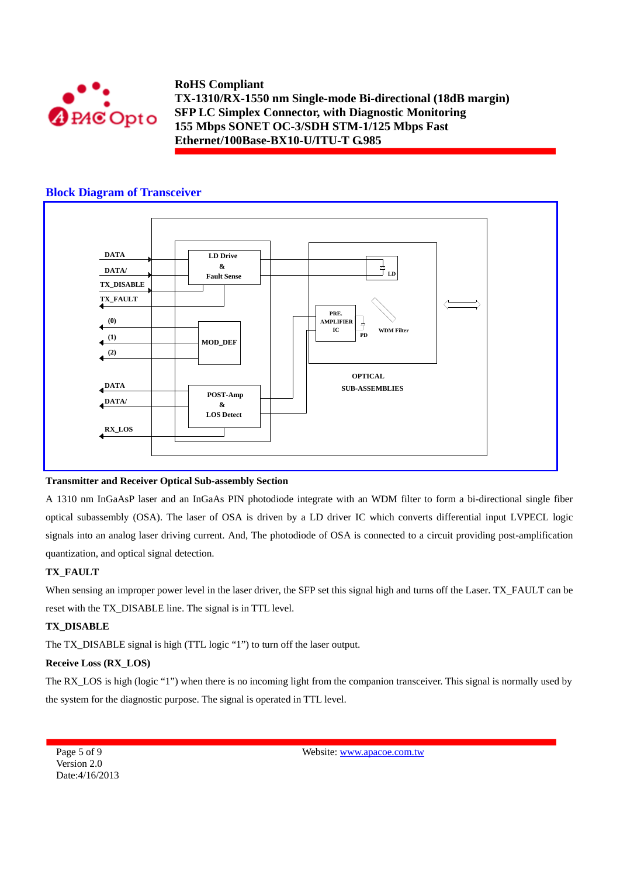

### **Block Diagram of Transceiver**



#### **Transmitter and Receiver Optical Sub-assembly Section**

A 1310 nm InGaAsP laser and an InGaAs PIN photodiode integrate with an WDM filter to form a bi-directional single fiber optical subassembly (OSA). The laser of OSA is driven by a LD driver IC which converts differential input LVPECL logic signals into an analog laser driving current. And, The photodiode of OSA is connected to a circuit providing post-amplification quantization, and optical signal detection.

#### **TX\_FAULT**

When sensing an improper power level in the laser driver, the SFP set this signal high and turns off the Laser. TX\_FAULT can be reset with the TX\_DISABLE line. The signal is in TTL level.

#### **TX\_DISABLE**

The TX\_DISABLE signal is high (TTL logic "1") to turn off the laser output.

#### **Receive Loss (RX\_LOS)**

The RX\_LOS is high (logic "1") when there is no incoming light from the companion transceiver. This signal is normally used by the system for the diagnostic purpose. The signal is operated in TTL level.

Page 5 of 9 Version 2.0 Date:4/16/2013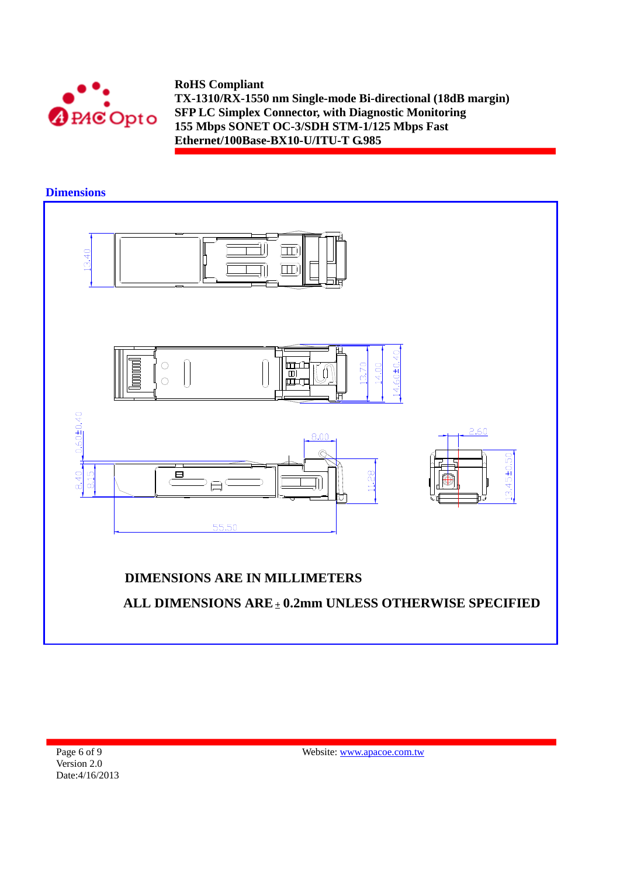



**Dimensions** 

Page 6 of 9 Version 2.0 Date:4/16/2013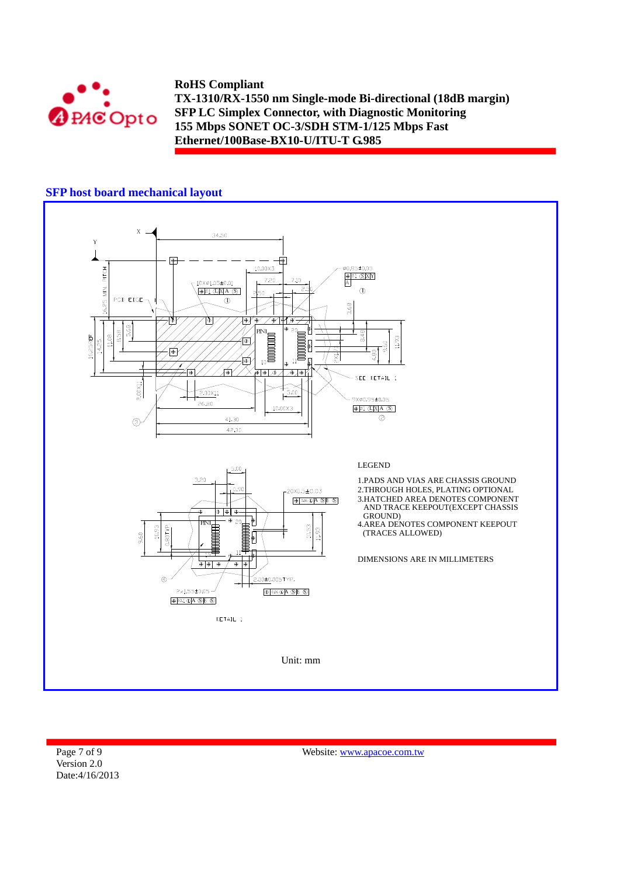

#### **SFP host board mechanical layout**



Page 7 of 9 Version 2.0 Date:4/16/2013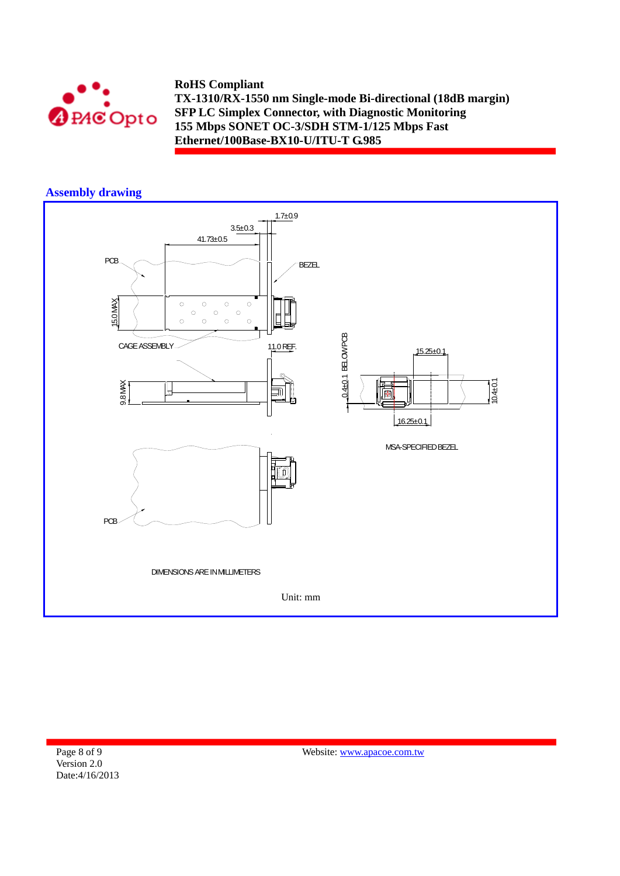

## **Assembly drawing**



Page 8 of 9 Version 2.0 Date:4/16/2013